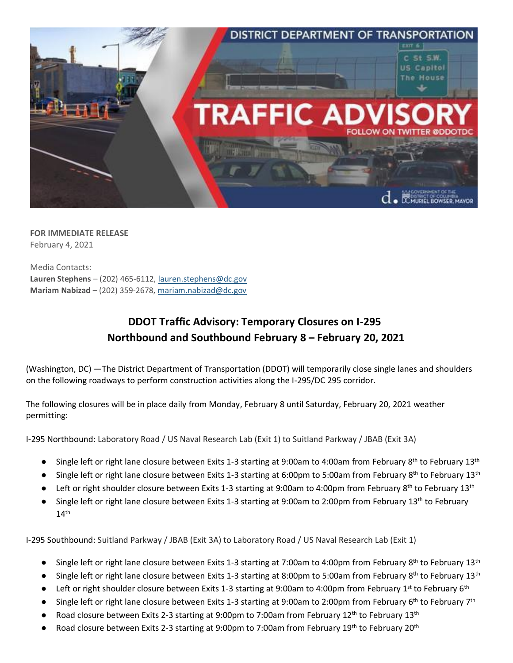

**FOR IMMEDIATE RELEASE** February 4, 2021

Media Contacts: **Lauren Stephens** – (202) 465-6112[, lauren.stephens@dc.gov](mailto:lauren.stephens@dc.gov) **Mariam Nabizad** – (202) 359-2678, [mariam.nabizad@dc.gov](mailto:mariam.nabizad@dc.gov)

## **DDOT Traffic Advisory: Temporary Closures on I-295 Northbound and Southbound February 8 – February 20, 2021**

(Washington, DC) —The District Department of Transportation (DDOT) will temporarily close single lanes and shoulders on the following roadways to perform construction activities along the I-295/DC 295 corridor.

The following closures will be in place daily from Monday, February 8 until Saturday, February 20, 2021 weather permitting:

I-295 Northbound: Laboratory Road / US Naval Research Lab (Exit 1) to Suitland Parkway / JBAB (Exit 3A)

- Single left or right lane closure between Exits 1-3 starting at 9:00am to 4:00am from February 8<sup>th</sup> to February 13<sup>th</sup>
- Single left or right lane closure between Exits 1-3 starting at 6:00pm to 5:00am from February 8<sup>th</sup> to February 13<sup>th</sup>
- Left or right shoulder closure between Exits 1-3 starting at 9:00am to 4:00pm from February 8<sup>th</sup> to February 13<sup>th</sup>
- Single left or right lane closure between Exits 1-3 starting at 9:00am to 2:00pm from February 13<sup>th</sup> to February  $14^{\text{th}}$

I-295 Southbound: Suitland Parkway / JBAB (Exit 3A) to Laboratory Road / US Naval Research Lab (Exit 1)

- Single left or right lane closure between Exits 1-3 starting at 7:00am to 4:00pm from February 8<sup>th</sup> to February 13<sup>th</sup>
- Single left or right lane closure between Exits 1-3 starting at 8:00pm to 5:00am from February 8<sup>th</sup> to February 13<sup>th</sup>
- Left or right shoulder closure between Exits 1-3 starting at 9:00am to 4:00pm from February 1<sup>st</sup> to February 6<sup>th</sup>
- Single left or right lane closure between Exits 1-3 starting at 9:00am to 2:00pm from February 6<sup>th</sup> to February 7<sup>th</sup>
- Road closure between Exits 2-3 starting at 9:00pm to 7:00am from February 12<sup>th</sup> to February 13<sup>th</sup>
- Road closure between Exits 2-3 starting at 9:00pm to 7:00am from February 19<sup>th</sup> to February 20<sup>th</sup>